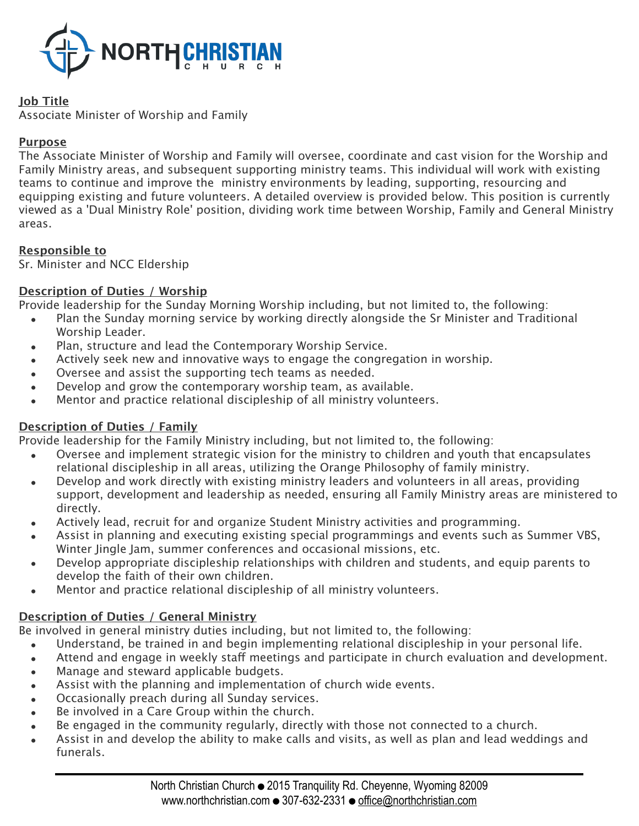

## **Job Title**

Associate Minister of Worship and Family

## **Purpose**

The Associate Minister of Worship and Family will oversee, coordinate and cast vision for the Worship and Family Ministry areas, and subsequent supporting ministry teams. This individual will work with existing teams to continue and improve the ministry environments by leading, supporting, resourcing and equipping existing and future volunteers. A detailed overview is provided below. This position is currently viewed as a 'Dual Ministry Role' position, dividing work time between Worship, Family and General Ministry areas.

# **Responsible to**

Sr. Minister and NCC Eldership

## **Description of Duties / Worship**

Provide leadership for the Sunday Morning Worship including, but not limited to, the following:

- Plan the Sunday morning service by working directly alongside the Sr Minister and Traditional Worship Leader.
- Plan, structure and lead the Contemporary Worship Service.
- Actively seek new and innovative ways to engage the congregation in worship.
- Oversee and assist the supporting tech teams as needed.
- Develop and grow the contemporary worship team, as available.
- Mentor and practice relational discipleship of all ministry volunteers.

# **Description of Duties / Family**

Provide leadership for the Family Ministry including, but not limited to, the following:

- Oversee and implement strategic vision for the ministry to children and youth that encapsulates relational discipleship in all areas, utilizing the Orange Philosophy of family ministry.
- Develop and work directly with existing ministry leaders and volunteers in all areas, providing support, development and leadership as needed, ensuring all Family Ministry areas are ministered to directly.
- Actively lead, recruit for and organize Student Ministry activities and programming.
- Assist in planning and executing existing special programmings and events such as Summer VBS, Winter Jingle Jam, summer conferences and occasional missions, etc.
- Develop appropriate discipleship relationships with children and students, and equip parents to develop the faith of their own children.
- Mentor and practice relational discipleship of all ministry volunteers.

# **Description of Duties / General Ministry**

Be involved in general ministry duties including, but not limited to, the following:

- Understand, be trained in and begin implementing relational discipleship in your personal life.
- Attend and engage in weekly staff meetings and participate in church evaluation and development.
- Manage and steward applicable budgets.
- Assist with the planning and implementation of church wide events.
- Occasionally preach during all Sunday services.
- Be involved in a Care Group within the church.
- Be engaged in the community regularly, directly with those not connected to a church.
- Assist in and develop the ability to make calls and visits, as well as plan and lead weddings and funerals.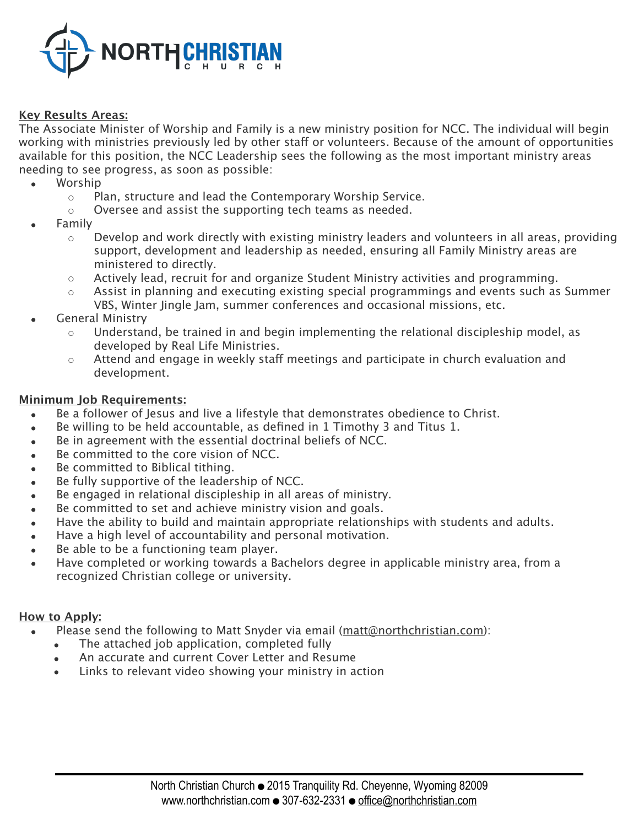

### **Key Results Areas:**

The Associate Minister of Worship and Family is a new ministry position for NCC. The individual will begin working with ministries previously led by other staff or volunteers. Because of the amount of opportunities available for this position, the NCC Leadership sees the following as the most important ministry areas needing to see progress, as soon as possible:

- Worship
	- Plan, structure and lead the Contemporary Worship Service.
	- Oversee and assist the supporting tech teams as needed.
- **Family** 
	- $\circ$  Develop and work directly with existing ministry leaders and volunteers in all areas, providing support, development and leadership as needed, ensuring all Family Ministry areas are ministered to directly.
	- $\circ$  Actively lead, recruit for and organize Student Ministry activities and programming.
	- Assist in planning and executing existing special programmings and events such as Summer VBS, Winter Jingle Jam, summer conferences and occasional missions, etc.
- General Ministry
	- Understand, be trained in and begin implementing the relational discipleship model, as developed by Real Life Ministries.
	- ⊙ Attend and engage in weekly staff meetings and participate in church evaluation and development.

#### **Minimum Job Requirements:**

- Be a follower of Jesus and live a lifestyle that demonstrates obedience to Christ.
- Be willing to be held accountable, as defined in 1 Timothy 3 and Titus 1.
- Be in agreement with the essential doctrinal beliefs of NCC.
- Be committed to the core vision of NCC.
- Be committed to Biblical tithing.
- Be fully supportive of the leadership of NCC.
- Be engaged in relational discipleship in all areas of ministry.
- Be committed to set and achieve ministry vision and goals.
- Have the ability to build and maintain appropriate relationships with students and adults.
- Have a high level of accountability and personal motivation.
- Be able to be a functioning team player.
- Have completed or working towards a Bachelors degree in applicable ministry area, from a recognized Christian college or university.

#### **How to Apply:**

- Please send the following to Matt Snyder via email (matt@northchristian.com):
	- The attached job application, completed fully
	- An accurate and current Cover Letter and Resume
	- Links to relevant video showing your ministry in action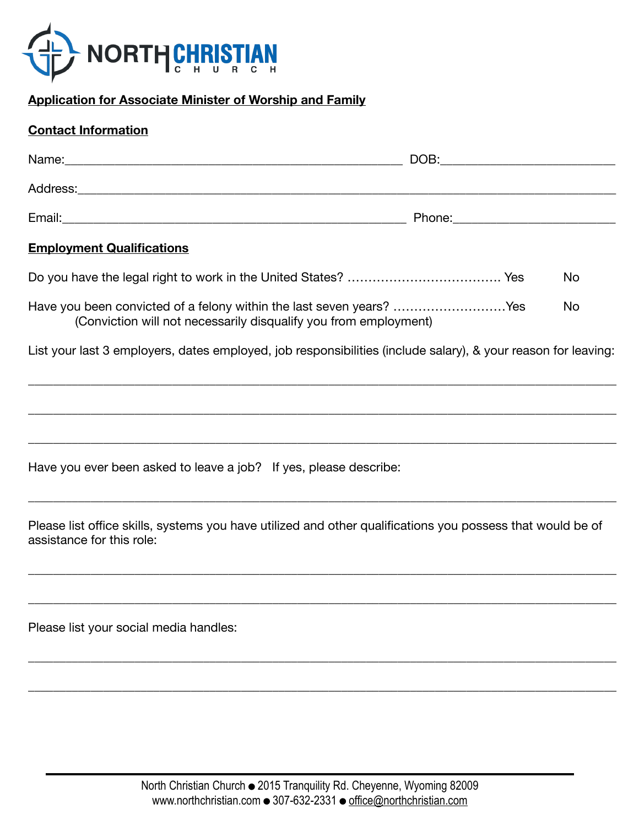

# **Application for Associate Minister of Worship and Family**

## **Contact Information**

| Name:    | DOB:   |
|----------|--------|
| Address: |        |
| Email:   | Phone: |

## **Employment Qualifications**

|                                                                      | Nο  |
|----------------------------------------------------------------------|-----|
| Have you been convicted of a felony within the last seven years? Yes | No. |
| (Conviction will not necessarily disqualify you from employment)     |     |

List your last 3 employers, dates employed, job responsibilities (include salary), & your reason for leaving:

\_\_\_\_\_\_\_\_\_\_\_\_\_\_\_\_\_\_\_\_\_\_\_\_\_\_\_\_\_\_\_\_\_\_\_\_\_\_\_\_\_\_\_\_\_\_\_\_\_\_\_\_\_\_\_\_\_\_\_\_\_\_\_\_\_\_\_\_\_\_\_\_\_\_\_\_\_\_\_\_\_\_\_\_\_\_\_\_\_\_\_\_\_\_

\_\_\_\_\_\_\_\_\_\_\_\_\_\_\_\_\_\_\_\_\_\_\_\_\_\_\_\_\_\_\_\_\_\_\_\_\_\_\_\_\_\_\_\_\_\_\_\_\_\_\_\_\_\_\_\_\_\_\_\_\_\_\_\_\_\_\_\_\_\_\_\_\_\_\_\_\_\_\_\_\_\_\_\_\_\_\_\_\_\_\_\_\_\_

\_\_\_\_\_\_\_\_\_\_\_\_\_\_\_\_\_\_\_\_\_\_\_\_\_\_\_\_\_\_\_\_\_\_\_\_\_\_\_\_\_\_\_\_\_\_\_\_\_\_\_\_\_\_\_\_\_\_\_\_\_\_\_\_\_\_\_\_\_\_\_\_\_\_\_\_\_\_\_\_\_\_\_\_\_\_\_\_\_\_\_\_\_\_

\_\_\_\_\_\_\_\_\_\_\_\_\_\_\_\_\_\_\_\_\_\_\_\_\_\_\_\_\_\_\_\_\_\_\_\_\_\_\_\_\_\_\_\_\_\_\_\_\_\_\_\_\_\_\_\_\_\_\_\_\_\_\_\_\_\_\_\_\_\_\_\_\_\_\_\_\_\_\_\_\_\_\_\_\_\_\_\_\_\_\_\_\_\_

Have you ever been asked to leave a job? If yes, please describe:

Please list office skills, systems you have utilized and other qualifications you possess that would be of assistance for this role:

\_\_\_\_\_\_\_\_\_\_\_\_\_\_\_\_\_\_\_\_\_\_\_\_\_\_\_\_\_\_\_\_\_\_\_\_\_\_\_\_\_\_\_\_\_\_\_\_\_\_\_\_\_\_\_\_\_\_\_\_\_\_\_\_\_\_\_\_\_\_\_\_\_\_\_\_\_\_\_\_\_\_\_\_\_\_\_\_\_\_\_\_\_\_

\_\_\_\_\_\_\_\_\_\_\_\_\_\_\_\_\_\_\_\_\_\_\_\_\_\_\_\_\_\_\_\_\_\_\_\_\_\_\_\_\_\_\_\_\_\_\_\_\_\_\_\_\_\_\_\_\_\_\_\_\_\_\_\_\_\_\_\_\_\_\_\_\_\_\_\_\_\_\_\_\_\_\_\_\_\_\_\_\_\_\_\_\_\_

\_\_\_\_\_\_\_\_\_\_\_\_\_\_\_\_\_\_\_\_\_\_\_\_\_\_\_\_\_\_\_\_\_\_\_\_\_\_\_\_\_\_\_\_\_\_\_\_\_\_\_\_\_\_\_\_\_\_\_\_\_\_\_\_\_\_\_\_\_\_\_\_\_\_\_\_\_\_\_\_\_\_\_\_\_\_\_\_\_\_\_\_\_\_

\_\_\_\_\_\_\_\_\_\_\_\_\_\_\_\_\_\_\_\_\_\_\_\_\_\_\_\_\_\_\_\_\_\_\_\_\_\_\_\_\_\_\_\_\_\_\_\_\_\_\_\_\_\_\_\_\_\_\_\_\_\_\_\_\_\_\_\_\_\_\_\_\_\_\_\_\_\_\_\_\_\_\_\_\_\_\_\_\_\_\_\_\_\_

Please list your social media handles: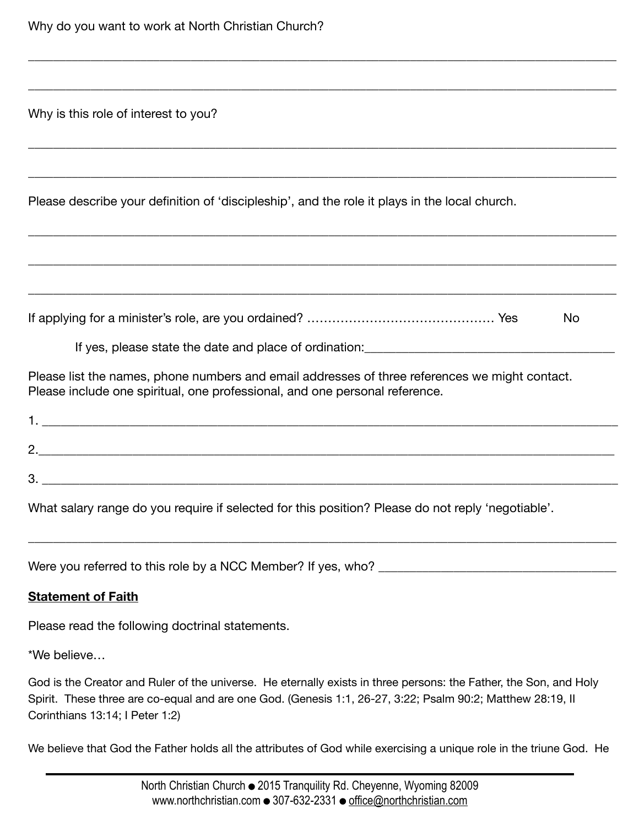Why is this role of interest to you?

Please describe your definition of 'discipleship', and the role it plays in the local church.

|  | <b>No</b> |  |
|--|-----------|--|
|  |           |  |

\_\_\_\_\_\_\_\_\_\_\_\_\_\_\_\_\_\_\_\_\_\_\_\_\_\_\_\_\_\_\_\_\_\_\_\_\_\_\_\_\_\_\_\_\_\_\_\_\_\_\_\_\_\_\_\_\_\_\_\_\_\_\_\_\_\_\_\_\_\_\_\_\_\_\_\_\_\_\_\_\_\_\_\_\_\_\_\_\_\_\_\_\_\_

\_\_\_\_\_\_\_\_\_\_\_\_\_\_\_\_\_\_\_\_\_\_\_\_\_\_\_\_\_\_\_\_\_\_\_\_\_\_\_\_\_\_\_\_\_\_\_\_\_\_\_\_\_\_\_\_\_\_\_\_\_\_\_\_\_\_\_\_\_\_\_\_\_\_\_\_\_\_\_\_\_\_\_\_\_\_\_\_\_\_\_\_\_\_

\_\_\_\_\_\_\_\_\_\_\_\_\_\_\_\_\_\_\_\_\_\_\_\_\_\_\_\_\_\_\_\_\_\_\_\_\_\_\_\_\_\_\_\_\_\_\_\_\_\_\_\_\_\_\_\_\_\_\_\_\_\_\_\_\_\_\_\_\_\_\_\_\_\_\_\_\_\_\_\_\_\_\_\_\_\_\_\_\_\_\_\_\_\_

\_\_\_\_\_\_\_\_\_\_\_\_\_\_\_\_\_\_\_\_\_\_\_\_\_\_\_\_\_\_\_\_\_\_\_\_\_\_\_\_\_\_\_\_\_\_\_\_\_\_\_\_\_\_\_\_\_\_\_\_\_\_\_\_\_\_\_\_\_\_\_\_\_\_\_\_\_\_\_\_\_\_\_\_\_\_\_\_\_\_\_\_\_\_

\_\_\_\_\_\_\_\_\_\_\_\_\_\_\_\_\_\_\_\_\_\_\_\_\_\_\_\_\_\_\_\_\_\_\_\_\_\_\_\_\_\_\_\_\_\_\_\_\_\_\_\_\_\_\_\_\_\_\_\_\_\_\_\_\_\_\_\_\_\_\_\_\_\_\_\_\_\_\_\_\_\_\_\_\_\_\_\_\_\_\_\_\_\_

\_\_\_\_\_\_\_\_\_\_\_\_\_\_\_\_\_\_\_\_\_\_\_\_\_\_\_\_\_\_\_\_\_\_\_\_\_\_\_\_\_\_\_\_\_\_\_\_\_\_\_\_\_\_\_\_\_\_\_\_\_\_\_\_\_\_\_\_\_\_\_\_\_\_\_\_\_\_\_\_\_\_\_\_\_\_\_\_\_\_\_\_\_\_

\_\_\_\_\_\_\_\_\_\_\_\_\_\_\_\_\_\_\_\_\_\_\_\_\_\_\_\_\_\_\_\_\_\_\_\_\_\_\_\_\_\_\_\_\_\_\_\_\_\_\_\_\_\_\_\_\_\_\_\_\_\_\_\_\_\_\_\_\_\_\_\_\_\_\_\_\_\_\_\_\_\_\_\_\_\_\_\_\_\_\_\_\_\_

If yes, please state the date and place of ordination:

Please list the names, phone numbers and email addresses of three references we might contact. Please include one spiritual, one professional, and one personal reference.

| . .           |  |  |
|---------------|--|--|
| ヮ<br><u>.</u> |  |  |
| 3.            |  |  |

What salary range do you require if selected for this position? Please do not reply 'negotiable'.

Were you referred to this role by a NCC Member? If yes, who?

\_\_\_\_\_\_\_\_\_\_\_\_\_\_\_\_\_\_\_\_\_\_\_\_\_\_\_\_\_\_\_\_\_\_\_\_\_\_\_\_\_\_\_\_\_\_\_\_\_\_\_\_\_\_\_\_\_\_\_\_\_\_\_\_\_\_\_\_\_\_\_\_\_\_\_\_\_\_\_\_\_\_\_\_\_\_\_\_\_\_\_\_\_\_

### **Statement of Faith**

Please read the following doctrinal statements.

\*We believe…

God is the Creator and Ruler of the universe. He eternally exists in three persons: the Father, the Son, and Holy Spirit. These three are co-equal and are one God. (Genesis 1:1, 26-27, 3:22; Psalm 90:2; Matthew 28:19, II Corinthians 13:14; I Peter 1:2)

We believe that God the Father holds all the attributes of God while exercising a unique role in the triune God. He